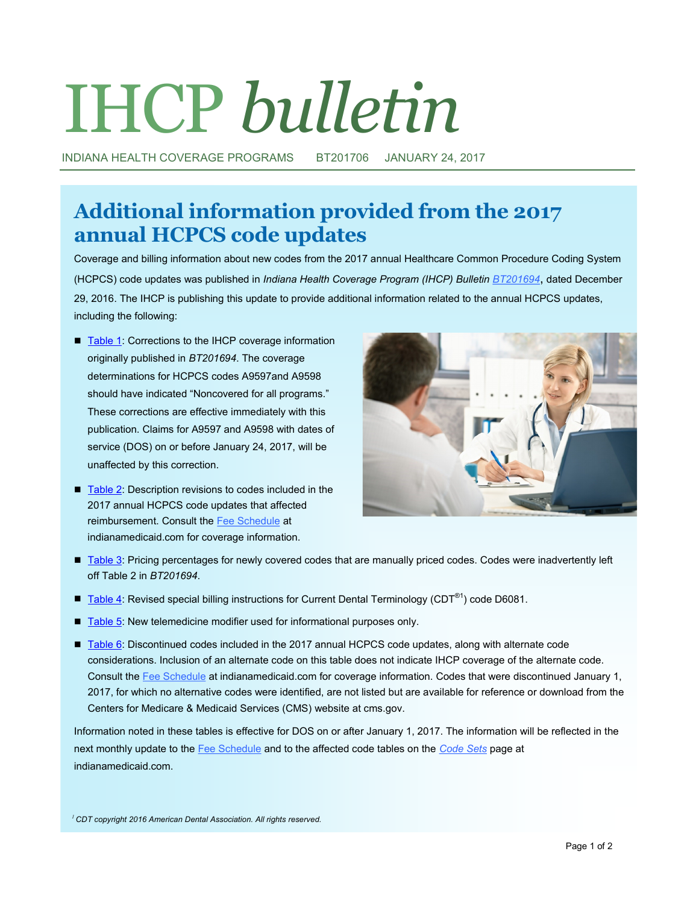# IHCP *bulletin*

INDIANA HEALTH COVERAGE PROGRAMS BT201706 JANUARY 24, 2017

## **Additional information provided from the 2017 annual HCPCS code updates**

Coverage and billing information about new codes from the 2017 annual Healthcare Common Procedure Coding System (HCPCS) code updates was published in *Indiana Health Coverage Program (IHCP) Bulletin [BT201694](http://provider.indianamedicaid.com/ihcp/Bulletins/BT201694.pdf)*, dated December 29, 2016. The IHCP is publishing this update to provide additional information related to the annual HCPCS updates, including the following:

- [Table 1:](#page-2-0) Corrections to the IHCP coverage information originally published in *BT201694*. The coverage determinations for HCPCS codes A9597and A9598 should have indicated "Noncovered for all programs." These corrections are effective immediately with this publication. Claims for A9597 and A9598 with dates of service (DOS) on or before January 24, 2017, will be unaffected by this correction.
- [Table 2: D](#page-2-0)escription revisions to codes included in the 2017 annual HCPCS code updates that affected reimbursement. Consult the [Fee Schedule](http://provider.indianamedicaid.com/ihcp/Publications/MaxFee/fee_schedule.asp) at indianamedicaid.com for coverage information.



- [Table 3: P](#page-2-0)ricing percentages for newly covered codes that are manually priced codes. Codes were inadvertently left off Table 2 in *BT201694*.
- [Table 4: R](#page-3-0)evised special billing instructions for Current Dental Terminology (CDT<sup>®1</sup>) code D6081.
- [Table 5: N](#page-3-0)ew telemedicine modifier used for informational purposes only.
- [Table 6: D](#page-3-0)iscontinued codes included in the 2017 annual HCPCS code updates, along with alternate code considerations. Inclusion of an alternate code on this table does not indicate IHCP coverage of the alternate code. Consult the [Fee Schedule](http://provider.indianamedicaid.com/ihcp/Publications/MaxFee/fee_schedule.asp) at indianamedicaid.com for coverage information. Codes that were discontinued January 1, 2017, for which no alternative codes were identified, are not listed but are available for reference or download from the Centers for Medicare & Medicaid Services (CMS) website at cms.gov.

Information noted in these tables is effective for DOS on or after January 1, 2017. The information will be reflected in the next monthly update to the [Fee Schedule](http://provider.indianamedicaid.com/ihcp/Publications/MaxFee/fee_schedule.asp) and to the affected code tables on the *[Code Sets](http://provider.indianamedicaid.com/general-provider-services/billing-and-remittance/code-sets.aspx)* page at indianamedicaid.com.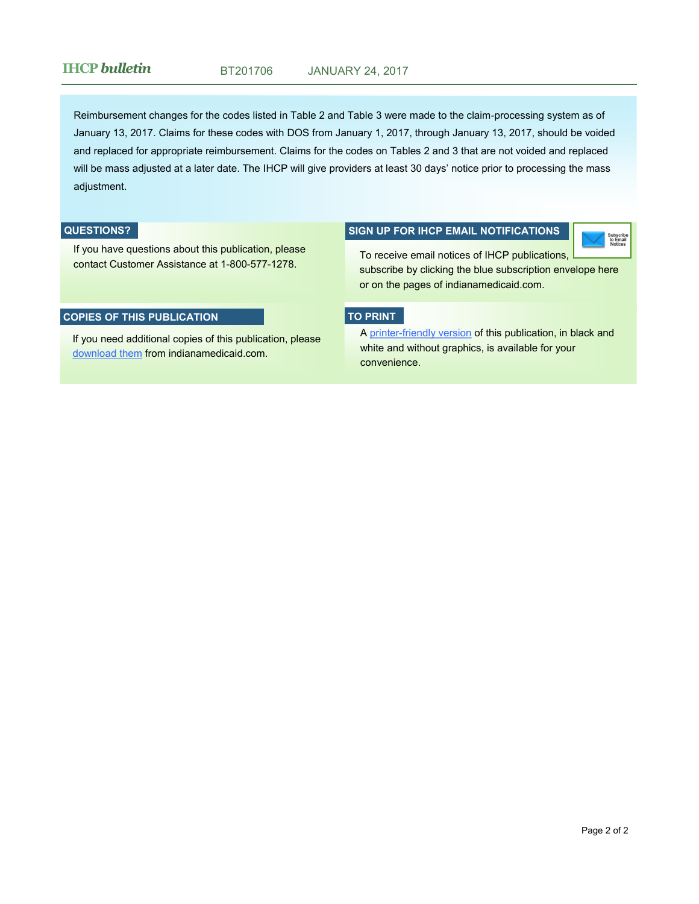### **IHCP** *bulletin* BT201706 JANUARY 24, 2017

Reimbursement changes for the codes listed in Table 2 and Table 3 were made to the claim-processing system as of January 13, 2017. Claims for these codes with DOS from January 1, 2017, through January 13, 2017, should be voided and replaced for appropriate reimbursement. Claims for the codes on Tables 2 and 3 that are not voided and replaced will be mass adjusted at a later date. The IHCP will give providers at least 30 days' notice prior to processing the mass adjustment.

#### **QUESTIONS?**

If you have questions about this publication, please contact Customer Assistance at 1-800-577-1278.

#### **COPIES OF THIS PUBLICATION**

If you need additional copies of this publication, please [download them](http://provider.indianamedicaid.com/news,-bulletins,-and-banners/bulletins.aspx) from indianamedicaid.com.

#### **SIGN UP FOR IHCP EMAIL NOTIFICATIONS**

Subscribe<br>to Email

To receive email notices of IHCP publications, subscribe by clicking the blue subscription envelope here or on the pages of indianamedicaid.com.

#### **TO PRINT**

A printer-[friendly version](http://provider.indianamedicaid.com/ihcp/Bulletins/BT201706_PF.pdf) of this publication, in black and white and without graphics, is available for your convenience.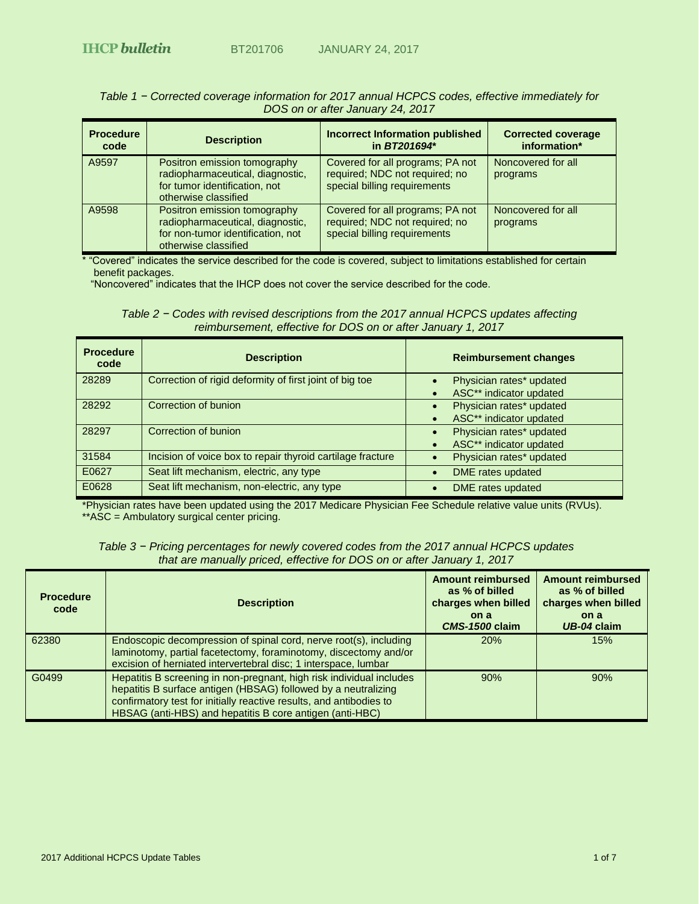| $\overline{a}$ $\overline{b}$ $\overline{c}$ $\overline{c}$ $\overline{c}$ $\overline{c}$ $\overline{c}$ $\overline{c}$ $\overline{c}$ $\overline{c}$ $\overline{c}$ $\overline{c}$ $\overline{c}$ $\overline{c}$ $\overline{c}$ $\overline{c}$ $\overline{c}$ $\overline{c}$ $\overline{c}$ $\overline{c}$ $\overline{c}$ $\overline{c}$ $\overline{c}$ $\overline{c}$ $\overline{$ |                                                                                                                               |                                                                                                    |                                           |
|--------------------------------------------------------------------------------------------------------------------------------------------------------------------------------------------------------------------------------------------------------------------------------------------------------------------------------------------------------------------------------------|-------------------------------------------------------------------------------------------------------------------------------|----------------------------------------------------------------------------------------------------|-------------------------------------------|
| <b>Procedure</b><br>code                                                                                                                                                                                                                                                                                                                                                             | <b>Description</b>                                                                                                            | <b>Incorrect Information published</b><br>in BT201694*                                             | <b>Corrected coverage</b><br>information* |
| A9597                                                                                                                                                                                                                                                                                                                                                                                | Positron emission tomography<br>radiopharmaceutical, diagnostic,<br>for tumor identification, not<br>otherwise classified     | Covered for all programs; PA not<br>required; NDC not required; no<br>special billing requirements | Noncovered for all<br>programs            |
| A9598                                                                                                                                                                                                                                                                                                                                                                                | Positron emission tomography<br>radiopharmaceutical, diagnostic,<br>for non-tumor identification, not<br>otherwise classified | Covered for all programs; PA not<br>required; NDC not required; no<br>special billing requirements | Noncovered for all<br>programs            |

#### <span id="page-2-0"></span>*Table 1 − Corrected coverage information for 2017 annual HCPCS codes, effective immediately for DOS on or after January 24, 2017*

\* "Covered" indicates the service described for the code is covered, subject to limitations established for certain benefit packages.

"Noncovered" indicates that the IHCP does not cover the service described for the code.

*Table 2 − Codes with revised descriptions from the 2017 annual HCPCS updates affecting reimbursement, effective for DOS on or after January 1, 2017*

| <b>Procedure</b><br>code | <b>Description</b>                                         | <b>Reimbursement changes</b>                                     |
|--------------------------|------------------------------------------------------------|------------------------------------------------------------------|
| 28289                    | Correction of rigid deformity of first joint of big toe    | Physician rates* updated<br>ASC** indicator updated              |
| 28292                    | Correction of bunion                                       | Physician rates* updated<br>ASC** indicator updated              |
| 28297                    | Correction of bunion                                       | Physician rates* updated<br>$\bullet$<br>ASC** indicator updated |
| 31584                    | Incision of voice box to repair thyroid cartilage fracture | Physician rates* updated                                         |
| E0627                    | Seat lift mechanism, electric, any type                    | DME rates updated                                                |
| E0628                    | Seat lift mechanism, non-electric, any type                | <b>DME</b> rates updated                                         |

\*Physician rates have been updated using the 2017 Medicare Physician Fee Schedule relative value units (RVUs). \*\*ASC = Ambulatory surgical center pricing.

| Table 3 - Pricing percentages for newly covered codes from the 2017 annual HCPCS updates |
|------------------------------------------------------------------------------------------|
| that are manually priced, effective for DOS on or after January 1, 2017                  |

| <b>Procedure</b><br>code | <b>Description</b>                                                                                                                                                                                                                                                        | <b>Amount reimbursed</b><br>as % of billed<br>charges when billed<br>on a<br><b>CMS-1500 claim</b> | <b>Amount reimbursed</b><br>as % of billed<br>charges when billed<br>on a<br>UB-04 claim |
|--------------------------|---------------------------------------------------------------------------------------------------------------------------------------------------------------------------------------------------------------------------------------------------------------------------|----------------------------------------------------------------------------------------------------|------------------------------------------------------------------------------------------|
| 62380                    | Endoscopic decompression of spinal cord, nerve root(s), including<br>laminotomy, partial facetectomy, foraminotomy, discectomy and/or<br>excision of herniated intervertebral disc; 1 interspace, lumbar                                                                  | 20%                                                                                                | 15%                                                                                      |
| G0499                    | Hepatitis B screening in non-pregnant, high risk individual includes<br>hepatitis B surface antigen (HBSAG) followed by a neutralizing<br>confirmatory test for initially reactive results, and antibodies to<br>HBSAG (anti-HBS) and hepatitis B core antigen (anti-HBC) | 90%                                                                                                | 90%                                                                                      |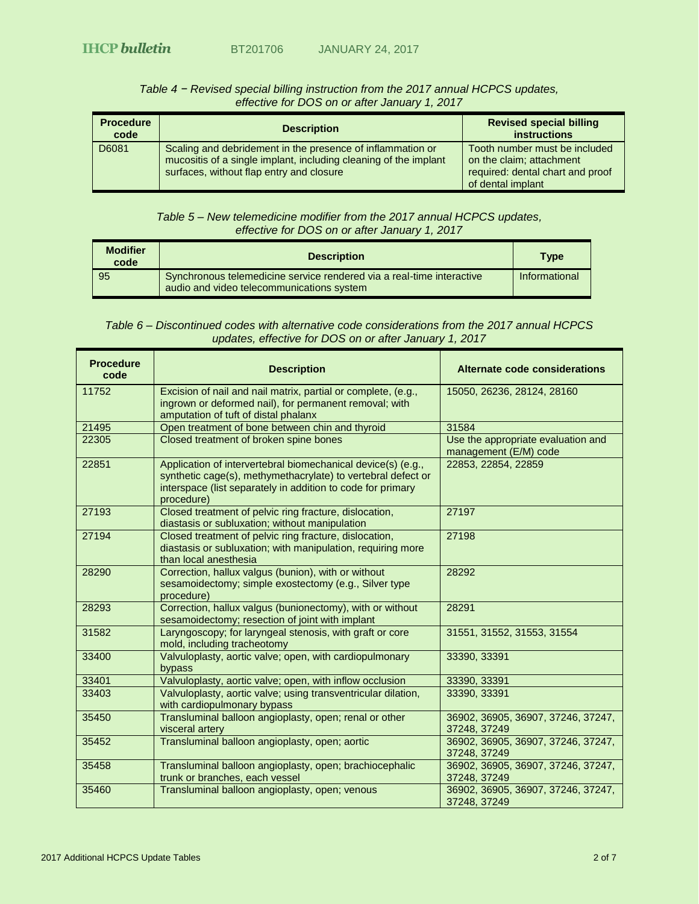<span id="page-3-0"></span>

| <b>Procedure</b><br>code | <b>Description</b>                                                                                                                                                         | <b>Revised special billing</b><br><b>instructions</b>                                                              |
|--------------------------|----------------------------------------------------------------------------------------------------------------------------------------------------------------------------|--------------------------------------------------------------------------------------------------------------------|
| D6081                    | Scaling and debridement in the presence of inflammation or<br>mucositis of a single implant, including cleaning of the implant<br>surfaces, without flap entry and closure | Tooth number must be included<br>on the claim; attachment<br>required: dental chart and proof<br>of dental implant |

#### *Table 4 − Revised special billing instruction from the 2017 annual HCPCS updates, effective for DOS on or after January 1, 2017*

### *Table 5 – New telemedicine modifier from the 2017 annual HCPCS updates, effective for DOS on or after January 1, 2017*

| <b>Modifier</b><br>code | <b>Description</b>                                                                                                 | <b>Type</b>   |
|-------------------------|--------------------------------------------------------------------------------------------------------------------|---------------|
| 95                      | Synchronous telemedicine service rendered via a real-time interactive<br>audio and video telecommunications system | Informational |

| <b>Procedure</b><br>code | <b>Description</b>                                                                                                                                                                                        | Alternate code considerations                               |
|--------------------------|-----------------------------------------------------------------------------------------------------------------------------------------------------------------------------------------------------------|-------------------------------------------------------------|
| 11752                    | Excision of nail and nail matrix, partial or complete, (e.g.,<br>ingrown or deformed nail), for permanent removal; with<br>amputation of tuft of distal phalanx                                           | 15050, 26236, 28124, 28160                                  |
| 21495                    | Open treatment of bone between chin and thyroid                                                                                                                                                           | 31584                                                       |
| 22305                    | Closed treatment of broken spine bones                                                                                                                                                                    | Use the appropriate evaluation and<br>management (E/M) code |
| 22851                    | Application of intervertebral biomechanical device(s) (e.g.,<br>synthetic cage(s), methymethacrylate) to vertebral defect or<br>interspace (list separately in addition to code for primary<br>procedure) | 22853, 22854, 22859                                         |
| 27193                    | Closed treatment of pelvic ring fracture, dislocation,<br>diastasis or subluxation; without manipulation                                                                                                  | 27197                                                       |
| 27194                    | Closed treatment of pelvic ring fracture, dislocation,<br>diastasis or subluxation; with manipulation, requiring more<br>than local anesthesia                                                            | 27198                                                       |
| 28290                    | Correction, hallux valgus (bunion), with or without<br>sesamoidectomy; simple exostectomy (e.g., Silver type<br>procedure)                                                                                | 28292                                                       |
| 28293                    | Correction, hallux valgus (bunionectomy), with or without<br>sesamoidectomy; resection of joint with implant                                                                                              | 28291                                                       |
| 31582                    | Laryngoscopy; for laryngeal stenosis, with graft or core<br>mold, including tracheotomy                                                                                                                   | 31551, 31552, 31553, 31554                                  |
| 33400                    | Valvuloplasty, aortic valve; open, with cardiopulmonary<br>bypass                                                                                                                                         | 33390, 33391                                                |
| 33401                    | Valvuloplasty, aortic valve; open, with inflow occlusion                                                                                                                                                  | 33390, 33391                                                |
| 33403                    | Valvuloplasty, aortic valve; using transventricular dilation,<br>with cardiopulmonary bypass                                                                                                              | 33390, 33391                                                |
| 35450                    | Transluminal balloon angioplasty, open; renal or other<br>visceral artery                                                                                                                                 | 36902, 36905, 36907, 37246, 37247,<br>37248, 37249          |
| 35452                    | Transluminal balloon angioplasty, open; aortic                                                                                                                                                            | 36902, 36905, 36907, 37246, 37247,<br>37248, 37249          |
| 35458                    | Transluminal balloon angioplasty, open; brachiocephalic<br>trunk or branches, each vessel                                                                                                                 | 36902, 36905, 36907, 37246, 37247,<br>37248, 37249          |
| 35460                    | Transluminal balloon angioplasty, open; venous                                                                                                                                                            | 36902, 36905, 36907, 37246, 37247,<br>37248, 37249          |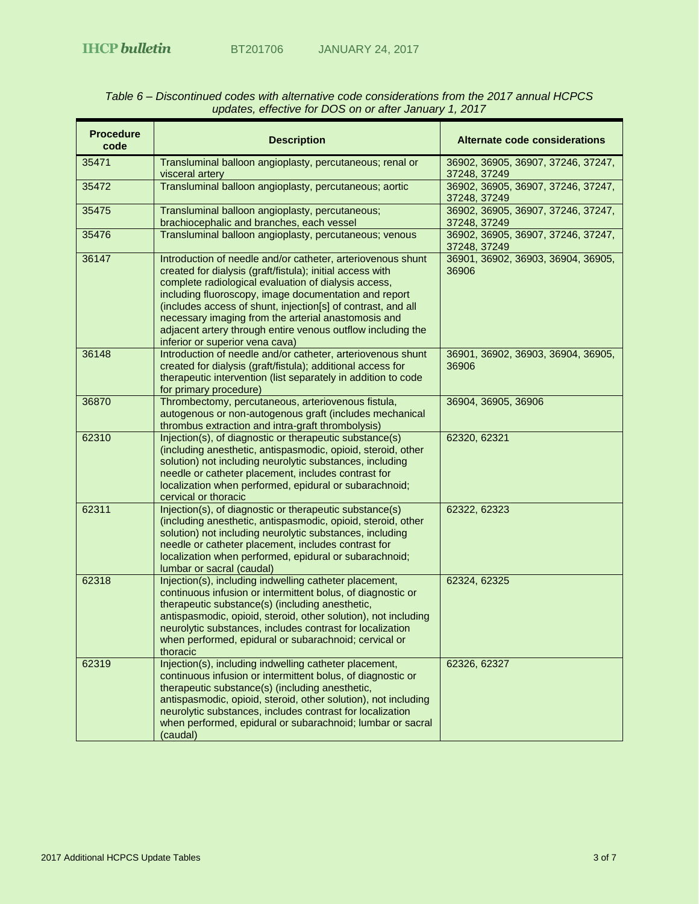| <b>JANUARY 24, 2017</b> |  |
|-------------------------|--|
|-------------------------|--|

| Table 6 – Discontinued codes with alternative code considerations from the 2017 annual HCPCS |
|----------------------------------------------------------------------------------------------|
| updates, effective for DOS on or after January 1, 2017                                       |

| <b>Procedure</b><br>code | <b>Description</b>                                                                                                                                                                                                                                                                                                                                                                                                                                                 | Alternate code considerations                      |
|--------------------------|--------------------------------------------------------------------------------------------------------------------------------------------------------------------------------------------------------------------------------------------------------------------------------------------------------------------------------------------------------------------------------------------------------------------------------------------------------------------|----------------------------------------------------|
| 35471                    | Transluminal balloon angioplasty, percutaneous; renal or<br>visceral artery                                                                                                                                                                                                                                                                                                                                                                                        | 36902, 36905, 36907, 37246, 37247,<br>37248, 37249 |
| 35472                    | Transluminal balloon angioplasty, percutaneous; aortic                                                                                                                                                                                                                                                                                                                                                                                                             | 36902, 36905, 36907, 37246, 37247,<br>37248, 37249 |
| 35475                    | Transluminal balloon angioplasty, percutaneous;<br>brachiocephalic and branches, each vessel                                                                                                                                                                                                                                                                                                                                                                       | 36902, 36905, 36907, 37246, 37247,<br>37248, 37249 |
| 35476                    | Transluminal balloon angioplasty, percutaneous; venous                                                                                                                                                                                                                                                                                                                                                                                                             | 36902, 36905, 36907, 37246, 37247,<br>37248, 37249 |
| 36147                    | Introduction of needle and/or catheter, arteriovenous shunt<br>created for dialysis (graft/fistula); initial access with<br>complete radiological evaluation of dialysis access,<br>including fluoroscopy, image documentation and report<br>(includes access of shunt, injection[s] of contrast, and all<br>necessary imaging from the arterial anastomosis and<br>adjacent artery through entire venous outflow including the<br>inferior or superior vena cava) | 36901, 36902, 36903, 36904, 36905,<br>36906        |
| 36148                    | Introduction of needle and/or catheter, arteriovenous shunt<br>created for dialysis (graft/fistula); additional access for<br>therapeutic intervention (list separately in addition to code<br>for primary procedure)                                                                                                                                                                                                                                              | 36901, 36902, 36903, 36904, 36905,<br>36906        |
| 36870                    | Thrombectomy, percutaneous, arteriovenous fistula,<br>autogenous or non-autogenous graft (includes mechanical<br>thrombus extraction and intra-graft thrombolysis)                                                                                                                                                                                                                                                                                                 | 36904, 36905, 36906                                |
| 62310                    | Injection(s), of diagnostic or therapeutic substance(s)<br>(including anesthetic, antispasmodic, opioid, steroid, other<br>solution) not including neurolytic substances, including<br>needle or catheter placement, includes contrast for<br>localization when performed, epidural or subarachnoid;<br>cervical or thoracic                                                                                                                                       | 62320, 62321                                       |
| 62311                    | Injection(s), of diagnostic or therapeutic substance(s)<br>(including anesthetic, antispasmodic, opioid, steroid, other<br>solution) not including neurolytic substances, including<br>needle or catheter placement, includes contrast for<br>localization when performed, epidural or subarachnoid;<br>lumbar or sacral (caudal)                                                                                                                                  | 62322, 62323                                       |
| 62318                    | Injection(s), including indwelling catheter placement,<br>continuous infusion or intermittent bolus, of diagnostic or<br>therapeutic substance(s) (including anesthetic,<br>antispasmodic, opioid, steroid, other solution), not including<br>neurolytic substances, includes contrast for localization<br>when performed, epidural or subarachnoid; cervical or<br>thoracic                                                                                       | 62324, 62325                                       |
| 62319                    | Injection(s), including indwelling catheter placement,<br>continuous infusion or intermittent bolus, of diagnostic or<br>therapeutic substance(s) (including anesthetic,<br>antispasmodic, opioid, steroid, other solution), not including<br>neurolytic substances, includes contrast for localization<br>when performed, epidural or subarachnoid; lumbar or sacral<br>(caudal)                                                                                  | 62326, 62327                                       |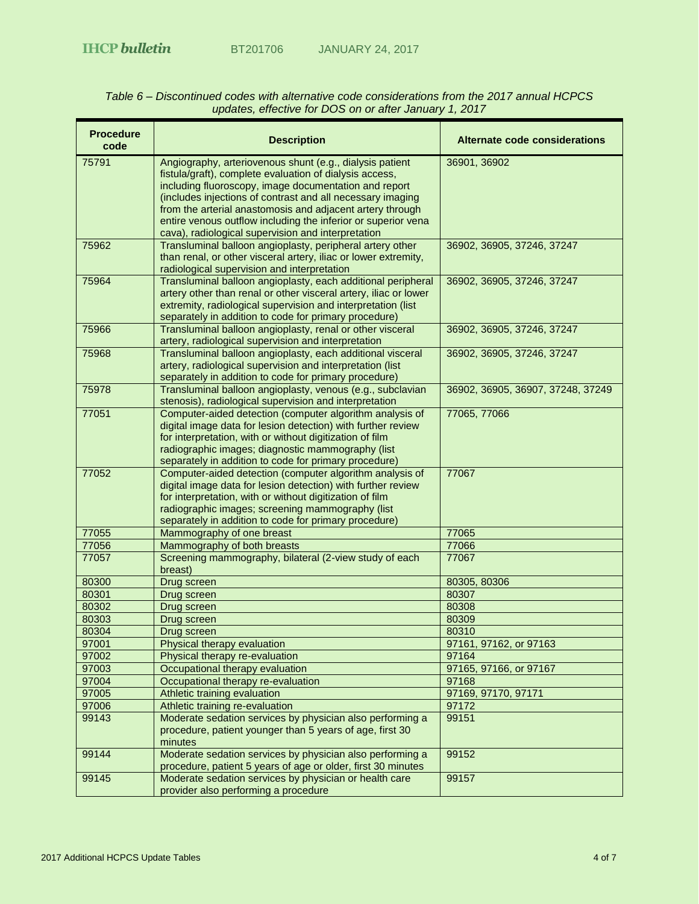| <b>Procedure</b><br>code | <b>Description</b>                                                                                                    | Alternate code considerations     |
|--------------------------|-----------------------------------------------------------------------------------------------------------------------|-----------------------------------|
| 75791                    | Angiography, arteriovenous shunt (e.g., dialysis patient<br>fistula/graft), complete evaluation of dialysis access,   | 36901, 36902                      |
|                          | including fluoroscopy, image documentation and report                                                                 |                                   |
|                          | (includes injections of contrast and all necessary imaging                                                            |                                   |
|                          | from the arterial anastomosis and adjacent artery through                                                             |                                   |
|                          | entire venous outflow including the inferior or superior vena<br>cava), radiological supervision and interpretation   |                                   |
| 75962                    | Transluminal balloon angioplasty, peripheral artery other                                                             | 36902, 36905, 37246, 37247        |
|                          | than renal, or other visceral artery, iliac or lower extremity,                                                       |                                   |
|                          | radiological supervision and interpretation                                                                           |                                   |
| 75964                    | Transluminal balloon angioplasty, each additional peripheral                                                          | 36902, 36905, 37246, 37247        |
|                          | artery other than renal or other visceral artery, iliac or lower                                                      |                                   |
|                          | extremity, radiological supervision and interpretation (list<br>separately in addition to code for primary procedure) |                                   |
| 75966                    | Transluminal balloon angioplasty, renal or other visceral                                                             | 36902, 36905, 37246, 37247        |
|                          | artery, radiological supervision and interpretation                                                                   |                                   |
| 75968                    | Transluminal balloon angioplasty, each additional visceral                                                            | 36902, 36905, 37246, 37247        |
|                          | artery, radiological supervision and interpretation (list                                                             |                                   |
|                          | separately in addition to code for primary procedure)                                                                 |                                   |
| 75978                    | Transluminal balloon angioplasty, venous (e.g., subclavian<br>stenosis), radiological supervision and interpretation  | 36902, 36905, 36907, 37248, 37249 |
| 77051                    | Computer-aided detection (computer algorithm analysis of                                                              | 77065, 77066                      |
|                          | digital image data for lesion detection) with further review                                                          |                                   |
|                          | for interpretation, with or without digitization of film                                                              |                                   |
|                          | radiographic images; diagnostic mammography (list<br>separately in addition to code for primary procedure)            |                                   |
| 77052                    | Computer-aided detection (computer algorithm analysis of                                                              | 77067                             |
|                          | digital image data for lesion detection) with further review                                                          |                                   |
|                          | for interpretation, with or without digitization of film                                                              |                                   |
|                          | radiographic images; screening mammography (list                                                                      |                                   |
|                          | separately in addition to code for primary procedure)                                                                 |                                   |
| 77055                    | Mammography of one breast                                                                                             | 77065                             |
| 77056                    | Mammography of both breasts                                                                                           | 77066<br>77067                    |
| 77057                    | Screening mammography, bilateral (2-view study of each<br>breast)                                                     |                                   |
| 80300                    | Drug screen                                                                                                           | 80305, 80306                      |
| 80301                    | Drug screen                                                                                                           | 80307                             |
| 80302                    | Drug screen                                                                                                           | 80308                             |
| 80303                    | Drug screen                                                                                                           | 80309                             |
| 80304                    | Drug screen                                                                                                           | 80310                             |
| 97001<br>97002           | Physical therapy evaluation<br>Physical therapy re-evaluation                                                         | 97161, 97162, or 97163<br>97164   |
| 97003                    | Occupational therapy evaluation                                                                                       | 97165, 97166, or 97167            |
| 97004                    | Occupational therapy re-evaluation                                                                                    | 97168                             |
| 97005                    | Athletic training evaluation                                                                                          | 97169, 97170, 97171               |
| 97006                    | Athletic training re-evaluation                                                                                       | 97172                             |
| 99143                    | Moderate sedation services by physician also performing a                                                             | 99151                             |
|                          | procedure, patient younger than 5 years of age, first 30<br>minutes                                                   |                                   |
| 99144                    | Moderate sedation services by physician also performing a                                                             | 99152                             |
|                          | procedure, patient 5 years of age or older, first 30 minutes                                                          |                                   |
| 99145                    | Moderate sedation services by physician or health care                                                                | 99157                             |
|                          | provider also performing a procedure                                                                                  |                                   |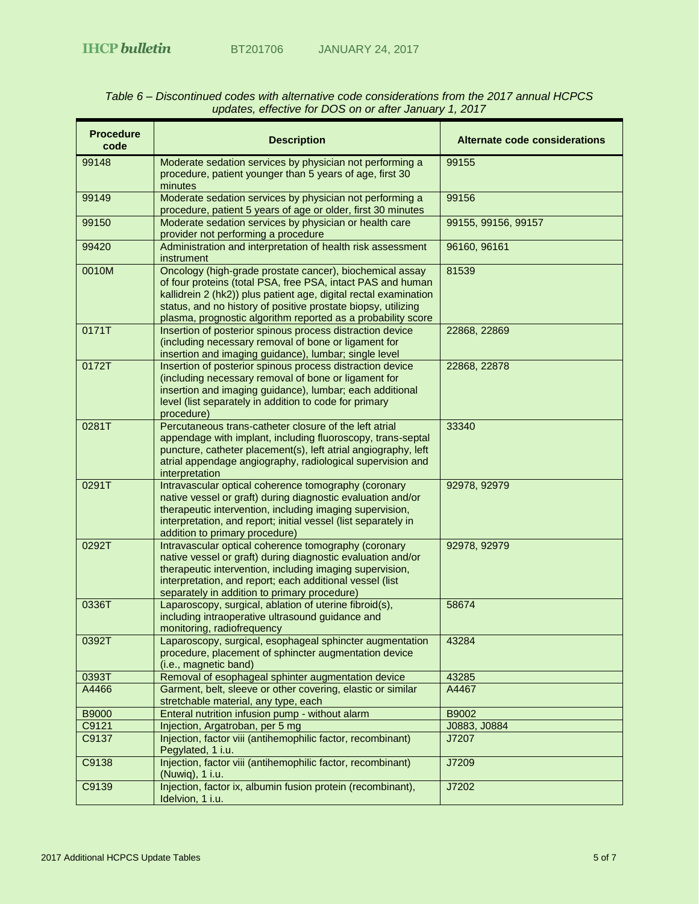| <b>Procedure</b><br>code | <b>Description</b>                                                                                                                                                                                                                                                                                                           | Alternate code considerations |
|--------------------------|------------------------------------------------------------------------------------------------------------------------------------------------------------------------------------------------------------------------------------------------------------------------------------------------------------------------------|-------------------------------|
| 99148                    | Moderate sedation services by physician not performing a<br>procedure, patient younger than 5 years of age, first 30<br>minutes                                                                                                                                                                                              | 99155                         |
| 99149                    | Moderate sedation services by physician not performing a<br>procedure, patient 5 years of age or older, first 30 minutes                                                                                                                                                                                                     | 99156                         |
| 99150                    | Moderate sedation services by physician or health care<br>provider not performing a procedure                                                                                                                                                                                                                                | 99155, 99156, 99157           |
| 99420                    | Administration and interpretation of health risk assessment<br>instrument                                                                                                                                                                                                                                                    | 96160, 96161                  |
| 0010M                    | Oncology (high-grade prostate cancer), biochemical assay<br>of four proteins (total PSA, free PSA, intact PAS and human<br>kallidrein 2 (hk2)) plus patient age, digital rectal examination<br>status, and no history of positive prostate biopsy, utilizing<br>plasma, prognostic algorithm reported as a probability score | 81539                         |
| 0171T                    | Insertion of posterior spinous process distraction device<br>(including necessary removal of bone or ligament for<br>insertion and imaging guidance), lumbar; single level                                                                                                                                                   | 22868, 22869                  |
| 0172T                    | Insertion of posterior spinous process distraction device<br>(including necessary removal of bone or ligament for<br>insertion and imaging guidance), lumbar; each additional<br>level (list separately in addition to code for primary<br>procedure)                                                                        | 22868, 22878                  |
| 0281T                    | Percutaneous trans-catheter closure of the left atrial<br>appendage with implant, including fluoroscopy, trans-septal<br>puncture, catheter placement(s), left atrial angiography, left<br>atrial appendage angiography, radiological supervision and<br>interpretation                                                      | 33340                         |
| 0291T                    | Intravascular optical coherence tomography (coronary<br>native vessel or graft) during diagnostic evaluation and/or<br>therapeutic intervention, including imaging supervision,<br>interpretation, and report; initial vessel (list separately in<br>addition to primary procedure)                                          | 92978, 92979                  |
| 0292T                    | Intravascular optical coherence tomography (coronary<br>native vessel or graft) during diagnostic evaluation and/or<br>therapeutic intervention, including imaging supervision,<br>interpretation, and report; each additional vessel (list<br>separately in addition to primary procedure)                                  | 92978, 92979                  |
| 0336T                    | Laparoscopy, surgical, ablation of uterine fibroid(s),<br>including intraoperative ultrasound guidance and<br>monitoring, radiofrequency                                                                                                                                                                                     | 58674                         |
| 0392T                    | Laparoscopy, surgical, esophageal sphincter augmentation<br>procedure, placement of sphincter augmentation device<br>(i.e., magnetic band)                                                                                                                                                                                   | 43284                         |
| 0393T                    | Removal of esophageal sphinter augmentation device                                                                                                                                                                                                                                                                           | 43285                         |
| A4466                    | Garment, belt, sleeve or other covering, elastic or similar<br>stretchable material, any type, each                                                                                                                                                                                                                          | A4467                         |
| <b>B9000</b>             | Enteral nutrition infusion pump - without alarm                                                                                                                                                                                                                                                                              | B9002                         |
| C9121                    | Injection, Argatroban, per 5 mg                                                                                                                                                                                                                                                                                              | J0883, J0884                  |
| C9137                    | Injection, factor viii (antihemophilic factor, recombinant)<br>Pegylated, 1 i.u.                                                                                                                                                                                                                                             | J7207                         |
| C9138                    | Injection, factor viii (antihemophilic factor, recombinant)<br>(Nuwiq), 1 i.u.                                                                                                                                                                                                                                               | J7209                         |
| C9139                    | Injection, factor ix, albumin fusion protein (recombinant),<br>Idelvion, 1 i.u.                                                                                                                                                                                                                                              | J7202                         |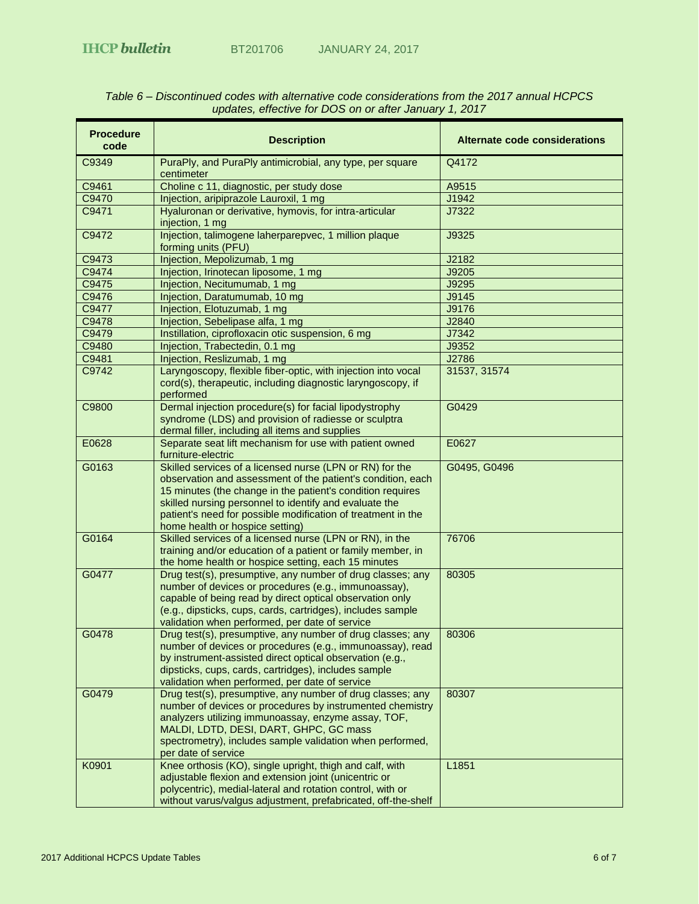| <b>Procedure</b><br>code | <b>Description</b>                                                                                                                                                                                                                                                                                                                                 | Alternate code considerations |
|--------------------------|----------------------------------------------------------------------------------------------------------------------------------------------------------------------------------------------------------------------------------------------------------------------------------------------------------------------------------------------------|-------------------------------|
| C9349                    | PuraPly, and PuraPly antimicrobial, any type, per square<br>centimeter                                                                                                                                                                                                                                                                             | Q4172                         |
| C9461                    | Choline c 11, diagnostic, per study dose                                                                                                                                                                                                                                                                                                           | A9515                         |
| C9470                    | Injection, aripiprazole Lauroxil, 1 mg                                                                                                                                                                                                                                                                                                             | J1942                         |
| C9471                    | Hyaluronan or derivative, hymovis, for intra-articular<br>injection, 1 mg                                                                                                                                                                                                                                                                          | J7322                         |
| C9472                    | Injection, talimogene laherparepvec, 1 million plaque<br>forming units (PFU)                                                                                                                                                                                                                                                                       | J9325                         |
| C9473                    | Injection, Mepolizumab, 1 mg                                                                                                                                                                                                                                                                                                                       | J2182                         |
| C9474                    | Injection, Irinotecan liposome, 1 mg                                                                                                                                                                                                                                                                                                               | J9205                         |
| C9475                    | Injection, Necitumumab, 1 mg                                                                                                                                                                                                                                                                                                                       | J9295                         |
| C9476                    | Injection, Daratumumab, 10 mg                                                                                                                                                                                                                                                                                                                      | J9145                         |
| C9477                    | Injection, Elotuzumab, 1 mg                                                                                                                                                                                                                                                                                                                        | J9176                         |
| C9478                    | Injection, Sebelipase alfa, 1 mg                                                                                                                                                                                                                                                                                                                   | J2840                         |
| C9479                    | Instillation, ciprofloxacin otic suspension, 6 mg                                                                                                                                                                                                                                                                                                  | J7342                         |
| C9480                    | Injection, Trabectedin, 0.1 mg                                                                                                                                                                                                                                                                                                                     | J9352                         |
| C9481                    | Injection, Reslizumab, 1 mg                                                                                                                                                                                                                                                                                                                        | J2786                         |
| C9742                    | Laryngoscopy, flexible fiber-optic, with injection into vocal<br>cord(s), therapeutic, including diagnostic laryngoscopy, if<br>performed                                                                                                                                                                                                          | 31537, 31574                  |
| C9800                    | Dermal injection procedure(s) for facial lipodystrophy<br>syndrome (LDS) and provision of radiesse or sculptra<br>dermal filler, including all items and supplies                                                                                                                                                                                  | G0429                         |
| E0628                    | Separate seat lift mechanism for use with patient owned<br>furniture-electric                                                                                                                                                                                                                                                                      | E0627                         |
| G0163                    | Skilled services of a licensed nurse (LPN or RN) for the<br>observation and assessment of the patient's condition, each<br>15 minutes (the change in the patient's condition requires<br>skilled nursing personnel to identify and evaluate the<br>patient's need for possible modification of treatment in the<br>home health or hospice setting) | G0495, G0496                  |
| G0164                    | Skilled services of a licensed nurse (LPN or RN), in the<br>training and/or education of a patient or family member, in<br>the home health or hospice setting, each 15 minutes                                                                                                                                                                     | 76706                         |
| G0477                    | Drug test(s), presumptive, any number of drug classes; any<br>number of devices or procedures (e.g., immunoassay),<br>capable of being read by direct optical observation only<br>(e.g., dipsticks, cups, cards, cartridges), includes sample<br>validation when performed, per date of service                                                    | 80305                         |
| G0478                    | Drug test(s), presumptive, any number of drug classes; any 80306<br>number of devices or procedures (e.g., immunoassay), read<br>by instrument-assisted direct optical observation (e.g.,<br>dipsticks, cups, cards, cartridges), includes sample<br>validation when performed, per date of service                                                |                               |
| G0479                    | Drug test(s), presumptive, any number of drug classes; any<br>number of devices or procedures by instrumented chemistry<br>analyzers utilizing immunoassay, enzyme assay, TOF,<br>MALDI, LDTD, DESI, DART, GHPC, GC mass<br>spectrometry), includes sample validation when performed,<br>per date of service                                       | 80307                         |
| K0901                    | Knee orthosis (KO), single upright, thigh and calf, with<br>adjustable flexion and extension joint (unicentric or<br>polycentric), medial-lateral and rotation control, with or<br>without varus/valgus adjustment, prefabricated, off-the-shelf                                                                                                   | L1851                         |